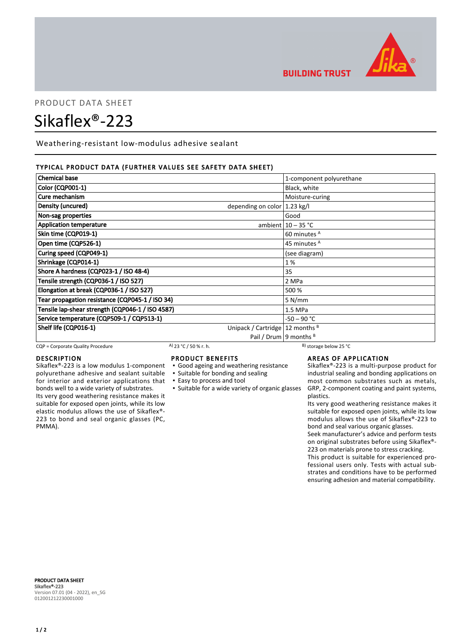

**BUILDING TRUST** 

# PRODUCT DATA SHEET Sikaflex®-223

Weathering-resistant low-modulus adhesive sealant

## TYPICAL PRODUCT DATA (FURTHER VALUES SEE SAFETY DATA SHEET)

| <b>Chemical base</b>                             | 1-component polyurethane                |
|--------------------------------------------------|-----------------------------------------|
| Color (CQP001-1)                                 | Black, white                            |
| Cure mechanism                                   | Moisture-curing                         |
| Density (uncured)                                | depending on color $ 1.23 \text{ kg}/I$ |
| Non-sag properties                               | Good                                    |
| <b>Application temperature</b>                   | ambient $10 - 35$ °C                    |
| Skin time (CQP019-1)                             | 60 minutes <sup>A</sup>                 |
| Open time (CQP526-1)                             | 45 minutes <sup>A</sup>                 |
| Curing speed (CQP049-1)                          | (see diagram)                           |
| Shrinkage (CQP014-1)                             | 1%                                      |
| Shore A hardness (CQP023-1 / ISO 48-4)           | 35                                      |
| Tensile strength (CQP036-1 / ISO 527)            | 2 MPa                                   |
| Elongation at break (CQP036-1 / ISO 527)         | 500 %                                   |
| Tear propagation resistance (CQP045-1 / ISO 34)  | 5 N/mm                                  |
| Tensile lap-shear strength (CQP046-1 / ISO 4587) | 1.5 MPa                                 |
| Service temperature (CQP509-1 / CQP513-1)        | $-50 - 90 °C$                           |
| Shelf life (CQP016-1)                            | Unipack / Cartridge   12 months $B$     |
|                                                  | Pail / Drum   9 months $B$              |

CQP = Corporate Quality Procedure A) 23 °C / 50 % r. h.

# DESCRIPTION

Sikaflex®-223 is a low modulus 1-component polyurethane adhesive and sealant suitable for interior and exterior applications that bonds well to a wide variety of substrates. Its very good weathering resistance makes it suitable for exposed open joints, while its low elastic modulus allows the use of Sikaflex®- 223 to bond and seal organic glasses (PC, PMMA).

# PRODUCT BENEFITS

- Good ageing and weathering resistance
- Suitable for bonding and sealing
- Easy to process and tool
- 

**EXECT:** Suitable for a wide variety of organic glasses

# AREAS OF APPLICATION

Sikaflex®-223 is a multi-purpose product for industrial sealing and bonding applications on most common substrates such as metals, GRP, 2-component coating and paint systems, plastics.

Its very good weathering resistance makes it suitable for exposed open joints, while its low modulus allows the use of Sikaflex®-223 to bond and seal various organic glasses.

Seek manufacturer's advice and perform tests on original substrates before using Sikaflex®- 223 on materials prone to stress cracking.

This product is suitable for experienced professional users only. Tests with actual substrates and conditions have to be performed ensuring adhesion and material compatibility.

PRODUCT DATA SHEET Sikaflex®-223 Version 07.01 (04 - 2022), en\_SG 012001212230001000